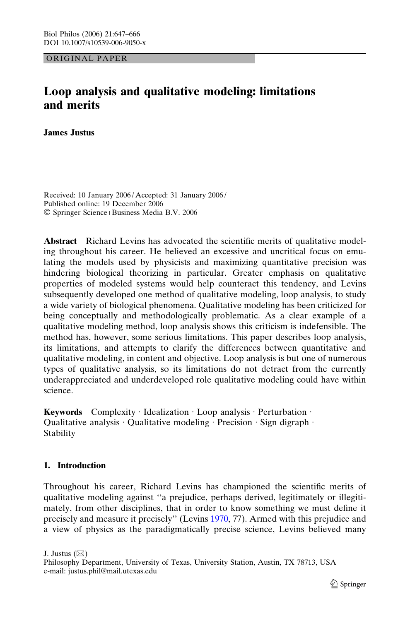ORIGINAL PAPER

# Loop analysis and qualitative modeling: limitations and merits

James Justus

Received: 10 January 2006 / Accepted: 31 January 2006 / Published online: 19 December 2006 Springer Science+Business Media B.V. 2006

Abstract Richard Levins has advocated the scientific merits of qualitative modeling throughout his career. He believed an excessive and uncritical focus on emulating the models used by physicists and maximizing quantitative precision was hindering biological theorizing in particular. Greater emphasis on qualitative properties of modeled systems would help counteract this tendency, and Levins subsequently developed one method of qualitative modeling, loop analysis, to study a wide variety of biological phenomena. Qualitative modeling has been criticized for being conceptually and methodologically problematic. As a clear example of a qualitative modeling method, loop analysis shows this criticism is indefensible. The method has, however, some serious limitations. This paper describes loop analysis, its limitations, and attempts to clarify the differences between quantitative and qualitative modeling, in content and objective. Loop analysis is but one of numerous types of qualitative analysis, so its limitations do not detract from the currently underappreciated and underdeveloped role qualitative modeling could have within science.

Keywords Complexity Idealization Loop analysis Perturbation  $\cdot$ Qualitative analysis  $\cdot$  Qualitative modeling  $\cdot$  Precision  $\cdot$  Sign digraph  $\cdot$ **Stability** 

# 1. Introduction

Throughout his career, Richard Levins has championed the scientific merits of qualitative modeling against ''a prejudice, perhaps derived, legitimately or illegitimately, from other disciplines, that in order to know something we must define it precisely and measure it precisely'' (Levins [1970,](#page-18-0) 77). Armed with this prejudice and a view of physics as the paradigmatically precise science, Levins believed many

J. Justus  $(\boxtimes)$ 

Philosophy Department, University of Texas, University Station, Austin, TX 78713, USA e-mail: justus.phil@mail.utexas.edu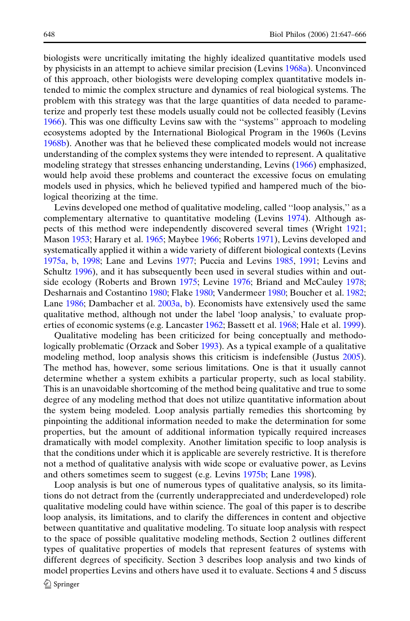biologists were uncritically imitating the highly idealized quantitative models used by physicists in an attempt to achieve similar precision (Levins [1968a](#page-18-0)). Unconvinced of this approach, other biologists were developing complex quantitative models intended to mimic the complex structure and dynamics of real biological systems. The problem with this strategy was that the large quantities of data needed to parameterize and properly test these models usually could not be collected feasibly (Levins [1966\)](#page-18-0). This was one difficulty Levins saw with the ''systems'' approach to modeling ecosystems adopted by the International Biological Program in the 1960s (Levins [1968b\)](#page-18-0). Another was that he believed these complicated models would not increase understanding of the complex systems they were intended to represent. A qualitative modeling strategy that stresses enhancing understanding, Levins ([1966\)](#page-18-0) emphasized, would help avoid these problems and counteract the excessive focus on emulating models used in physics, which he believed typified and hampered much of the biological theorizing at the time.

Levins developed one method of qualitative modeling, called ''loop analysis,'' as a complementary alternative to quantitative modeling (Levins [1974](#page-18-0)). Although aspects of this method were independently discovered several times (Wright [1921](#page-19-0); Mason [1953](#page-19-0); Harary et al. [1965](#page-18-0); Maybee [1966;](#page-19-0) Roberts [1971](#page-19-0)), Levins developed and systematically applied it within a wide variety of different biological contexts (Levins [1975a](#page-18-0), [b,](#page-18-0) [1998](#page-18-0); Lane and Levins [1977;](#page-18-0) Puccia and Levins [1985,](#page-19-0) [1991;](#page-19-0) Levins and Schultz [1996\)](#page-19-0), and it has subsequently been used in several studies within and out-side ecology (Roberts and Brown [1975;](#page-19-0) Levine [1976;](#page-18-0) Briand and McCauley [1978](#page-18-0); Desharnais and Costantino [1980](#page-18-0); Flake [1980](#page-18-0); Vandermeer [1980](#page-19-0); Boucher et al. [1982](#page-18-0); Lane [1986;](#page-18-0) Dambacher et al. [2003a](#page-18-0), [b\)](#page-18-0). Economists have extensively used the same qualitative method, although not under the label 'loop analysis,' to evaluate properties of economic systems (e.g. Lancaster [1962](#page-18-0); Bassett et al. [1968;](#page-18-0) Hale et al. [1999\)](#page-18-0).

Qualitative modeling has been criticized for being conceptually and methodologically problematic (Orzack and Sober [1993](#page-19-0)). As a typical example of a qualitative modeling method, loop analysis shows this criticism is indefensible (Justus [2005\)](#page-18-0). The method has, however, some serious limitations. One is that it usually cannot determine whether a system exhibits a particular property, such as local stability. This is an unavoidable shortcoming of the method being qualitative and true to some degree of any modeling method that does not utilize quantitative information about the system being modeled. Loop analysis partially remedies this shortcoming by pinpointing the additional information needed to make the determination for some properties, but the amount of additional information typically required increases dramatically with model complexity. Another limitation specific to loop analysis is that the conditions under which it is applicable are severely restrictive. It is therefore not a method of qualitative analysis with wide scope or evaluative power, as Levins and others sometimes seem to suggest (e.g. Levins [1975b;](#page-18-0) Lane [1998](#page-18-0)).

Loop analysis is but one of numerous types of qualitative analysis, so its limitations do not detract from the (currently underappreciated and underdeveloped) role qualitative modeling could have within science. The goal of this paper is to describe loop analysis, its limitations, and to clarify the differences in content and objective between quantitative and qualitative modeling. To situate loop analysis with respect to the space of possible qualitative modeling methods, Section 2 outlines different types of qualitative properties of models that represent features of systems with different degrees of specificity. Section 3 describes loop analysis and two kinds of model properties Levins and others have used it to evaluate. Sections 4 and 5 discuss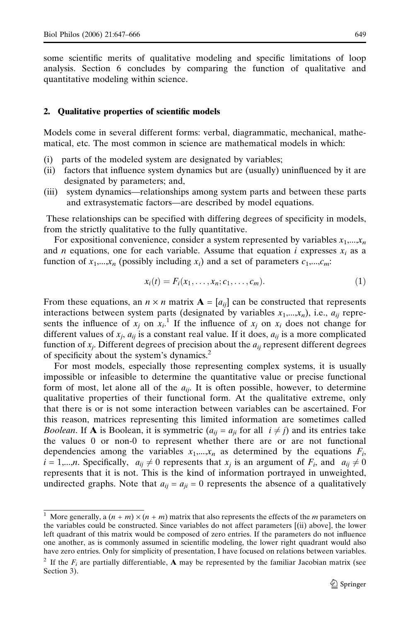some scientific merits of qualitative modeling and specific limitations of loop analysis. Section 6 concludes by comparing the function of qualitative and quantitative modeling within science.

## 2. Qualitative properties of scientific models

Models come in several different forms: verbal, diagrammatic, mechanical, mathematical, etc. The most common in science are mathematical models in which:

- (i) parts of the modeled system are designated by variables;
- (ii) factors that influence system dynamics but are (usually) uninfluenced by it are designated by parameters; and,
- (iii) system dynamics—relationships among system parts and between these parts and extrasystematic factors—are described by model equations.

These relationships can be specified with differing degrees of specificity in models, from the strictly qualitative to the fully quantitative.

For expositional convenience, consider a system represented by variables  $x_1,...,x_n$ and *n* equations, one for each variable. Assume that equation *i* expresses  $x_i$  as a function of  $x_1,...,x_n$  (possibly including  $x_i$ ) and a set of parameters  $c_1,...,c_m$ :

$$
x_i(t) = F_i(x_1, \dots, x_n; c_1, \dots, c_m). \tag{1}
$$

From these equations, an  $n \times n$  matrix  $\mathbf{A} = [a_{ij}]$  can be constructed that represents interactions between system parts (designated by variables  $x_1,...,x_n$ ), i.e.,  $a_{ii}$  represents the influence of  $x_j$  on  $x_i$ <sup>1</sup>. If the influence of  $x_j$  on  $x_i$  does not change for different values of  $x_i$ ,  $a_{ii}$  is a constant real value. If it does,  $a_{ii}$  is a more complicated function of  $x_i$ . Different degrees of precision about the  $a_{ii}$  represent different degrees of specificity about the system's dynamics.<sup>2</sup>

For most models, especially those representing complex systems, it is usually impossible or infeasible to determine the quantitative value or precise functional form of most, let alone all of the  $a_{ii}$ . It is often possible, however, to determine qualitative properties of their functional form. At the qualitative extreme, only that there is or is not some interaction between variables can be ascertained. For this reason, matrices representing this limited information are sometimes called *Boolean*. If **A** is Boolean, it is symmetric  $(a_{ij} = a_{ji} \text{ for all } i \neq j)$  and its entries take the values 0 or non-0 to represent whether there are or are not functional dependencies among the variables  $x_1,...,x_n$  as determined by the equations  $F_i$ ,  $i = 1,...,n$ . Specifically,  $a_{ij} \neq 0$  represents that  $x_i$  is an argument of  $F_i$ , and  $a_{ij} \neq 0$ represents that it is not. This is the kind of information portrayed in unweighted, undirected graphs. Note that  $a_{ij} = a_{ji} = 0$  represents the absence of a qualitatively

More generally, a  $(n + m) \times (n + m)$  matrix that also represents the effects of the *m* parameters on the variables could be constructed. Since variables do not affect parameters [(ii) above], the lower left quadrant of this matrix would be composed of zero entries. If the parameters do not influence one another, as is commonly assumed in scientific modeling, the lower right quadrant would also have zero entries. Only for simplicity of presentation, I have focused on relations between variables.

<sup>&</sup>lt;sup>2</sup> If the  $F_i$  are partially differentiable, **A** may be represented by the familiar Jacobian matrix (see Section 3).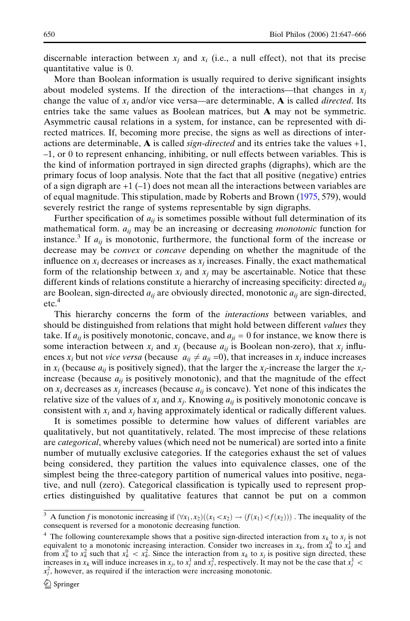discernable interaction between  $x_i$  and  $x_i$  (i.e., a null effect), not that its precise quantitative value is 0.

More than Boolean information is usually required to derive significant insights about modeled systems. If the direction of the interactions—that changes in  $x_i$ change the value of  $x_i$  and/or vice versa—are determinable, **A** is called *directed*. Its entries take the same values as Boolean matrices, but A may not be symmetric. Asymmetric causal relations in a system, for instance, can be represented with directed matrices. If, becoming more precise, the signs as well as directions of interactions are determinable,  $\bf{A}$  is called *sign-directed* and its entries take the values  $+1$ , –1, or 0 to represent enhancing, inhibiting, or null effects between variables. This is the kind of information portrayed in sign directed graphs (digraphs), which are the primary focus of loop analysis. Note that the fact that all positive (negative) entries of a sign digraph are  $+1$  (-1) does not mean all the interactions between variables are of equal magnitude. This stipulation, made by Roberts and Brown ([1975](#page-19-0), 579), would severely restrict the range of systems representable by sign digraphs.

Further specification of  $a_{ii}$  is sometimes possible without full determination of its mathematical form.  $a_{ii}$  may be an increasing or decreasing *monotonic* function for instance.<sup>3</sup> If  $a_{ii}$  is monotonic, furthermore, the functional form of the increase or decrease may be convex or concave depending on whether the magnitude of the influence on  $x_i$  decreases or increases as  $x_i$  increases. Finally, the exact mathematical form of the relationship between  $x_i$  and  $x_j$  may be ascertainable. Notice that these different kinds of relations constitute a hierarchy of increasing specificity: directed  $a_{ii}$ are Boolean, sign-directed  $a_{ij}$  are obviously directed, monotonic  $a_{ij}$  are sign-directed, etc.<sup>4</sup>

This hierarchy concerns the form of the interactions between variables, and should be distinguished from relations that might hold between different *values* they take. If  $a_{ii}$  is positively monotonic, concave, and  $a_{ii} = 0$  for instance, we know there is some interaction between  $x_i$  and  $x_j$  (because  $a_{ij}$  is Boolean non-zero), that  $x_j$  influences  $x_i$  but not *vice versa* (because  $a_{ii} \neq a_{ii} = 0$ ), that increases in  $x_i$  induce increases in  $x_i$  (because  $a_{ii}$  is positively signed), that the larger the  $x_i$ -increase the larger the  $x_i$ increase (because  $a_{ii}$  is positively monotonic), and that the magnitude of the effect on  $x_i$  decreases as  $x_j$  increases (because  $a_{ij}$  is concave). Yet none of this indicates the relative size of the values of  $x_i$  and  $x_j$ . Knowing  $a_{ij}$  is positively monotonic concave is consistent with  $x_i$  and  $x_j$  having approximately identical or radically different values.

It is sometimes possible to determine how values of different variables are qualitatively, but not quantitatively, related. The most imprecise of these relations are categorical, whereby values (which need not be numerical) are sorted into a finite number of mutually exclusive categories. If the categories exhaust the set of values being considered, they partition the values into equivalence classes, one of the simplest being the three-category partition of numerical values into positive, negative, and null (zero). Categorical classification is typically used to represent properties distinguished by qualitative features that cannot be put on a common

A function f is monotonic increasing if  $(\forall x_1, x_2)(x_1 \langle x_2 \rangle \rightarrow (f(x_1) \langle f(x_2) \rangle)$ . The inequality of the consequent is reversed for a monotonic decreasing function.

<sup>&</sup>lt;sup>4</sup> The following counterexample shows that a positive sign-directed interaction from  $x_k$  to  $x_j$  is not equivalent to a monotonic increasing interaction. Consider two increases in  $x_k$ , from  $x_k^0$  to  $x_k^1$  and from  $x_k^0$  to  $x_k^2$  such that  $x_k^1 < x_k^2$ . Since the interaction from  $x_k$  to  $x_j$  is positive sign directed, these increases in  $x_k$  will induce increases in  $x_j$ , to  $x_j^1$  and  $x_j^2$ , respectively. It may not be the case that  $x_j^1$  <  $x_j^2$ , however, as required if the interaction were increasing monotonic.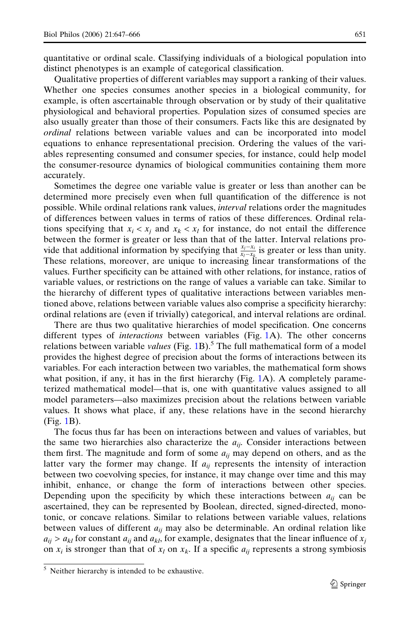quantitative or ordinal scale. Classifying individuals of a biological population into distinct phenotypes is an example of categorical classification.

Qualitative properties of different variables may support a ranking of their values. Whether one species consumes another species in a biological community, for example, is often ascertainable through observation or by study of their qualitative physiological and behavioral properties. Population sizes of consumed species are also usually greater than those of their consumers. Facts like this are designated by ordinal relations between variable values and can be incorporated into model equations to enhance representational precision. Ordering the values of the variables representing consumed and consumer species, for instance, could help model the consumer-resource dynamics of biological communities containing them more accurately.

Sometimes the degree one variable value is greater or less than another can be determined more precisely even when full quantification of the difference is not possible. While ordinal relations rank values, interval relations order the magnitudes of differences between values in terms of ratios of these differences. Ordinal relations specifying that  $x_i < x_i$  and  $x_k < x_l$  for instance, do not entail the difference between the former is greater or less than that of the latter. Interval relations provide that additional information by specifying that  $\frac{x_j - x_i}{x_l - x_k}$  is greater or less than unity. These relations, moreover, are unique to increasing linear transformations of the values. Further specificity can be attained with other relations, for instance, ratios of variable values, or restrictions on the range of values a variable can take. Similar to the hierarchy of different types of qualitative interactions between variables mentioned above, relations between variable values also comprise a specificity hierarchy: ordinal relations are (even if trivially) categorical, and interval relations are ordinal.

There are thus two qualitative hierarchies of model specification. One concerns different types of *interactions* between variables (Fig. [1A](#page-5-0)). The other concerns relations between variable *values* (Fig. [1](#page-5-0)B).<sup>5</sup> The full mathematical form of a model provides the highest degree of precision about the forms of interactions between its variables. For each interaction between two variables, the mathematical form shows what position, if any, it has in the first hierarchy (Fig. [1](#page-5-0)A). A completely parameterized mathematical model—that is, one with quantitative values assigned to all model parameters—also maximizes precision about the relations between variable values. It shows what place, if any, these relations have in the second hierarchy (Fig. [1B](#page-5-0)).

The focus thus far has been on interactions between and values of variables, but the same two hierarchies also characterize the  $a_{ij}$ . Consider interactions between them first. The magnitude and form of some  $a_{ij}$  may depend on others, and as the latter vary the former may change. If  $a_{ii}$  represents the intensity of interaction between two coevolving species, for instance, it may change over time and this may inhibit, enhance, or change the form of interactions between other species. Depending upon the specificity by which these interactions between  $a_{ij}$  can be ascertained, they can be represented by Boolean, directed, signed-directed, monotonic, or concave relations. Similar to relations between variable values, relations between values of different  $a_{ij}$  may also be determinable. An ordinal relation like  $a_{ii} > a_{kl}$  for constant  $a_{ii}$  and  $a_{kl}$ , for example, designates that the linear influence of  $x_i$ on  $x_i$  is stronger than that of  $x_i$  on  $x_k$ . If a specific  $a_{ij}$  represents a strong symbiosis

<sup>5</sup> Neither hierarchy is intended to be exhaustive.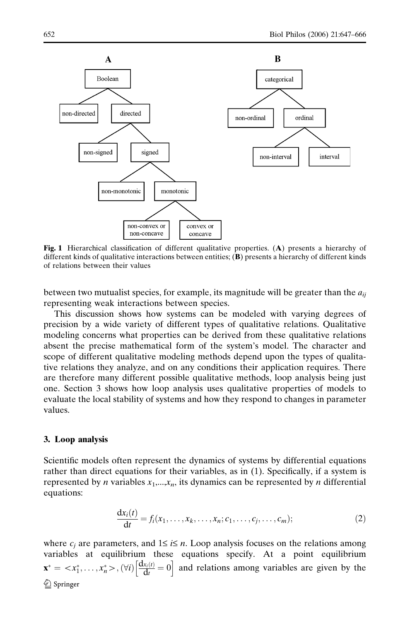<span id="page-5-0"></span>

Fig. 1 Hierarchical classification of different qualitative properties. (A) presents a hierarchy of different kinds of qualitative interactions between entities;  $(B)$  presents a hierarchy of different kinds of relations between their values

between two mutualist species, for example, its magnitude will be greater than the  $a_{ij}$ representing weak interactions between species.

This discussion shows how systems can be modeled with varying degrees of precision by a wide variety of different types of qualitative relations. Qualitative modeling concerns what properties can be derived from these qualitative relations absent the precise mathematical form of the system's model. The character and scope of different qualitative modeling methods depend upon the types of qualitative relations they analyze, and on any conditions their application requires. There are therefore many different possible qualitative methods, loop analysis being just one. Section 3 shows how loop analysis uses qualitative properties of models to evaluate the local stability of systems and how they respond to changes in parameter values.

#### 3. Loop analysis

Scientific models often represent the dynamics of systems by differential equations rather than direct equations for their variables, as in (1). Specifically, if a system is represented by *n* variables  $x_1,...,x_n$ , its dynamics can be represented by *n* differential equations:

$$
\frac{\mathrm{d}x_i(t)}{\mathrm{d}t} = f_i(x_1,\ldots,x_k,\ldots,x_n;c_1,\ldots,c_j,\ldots,c_m);
$$
\n(2)

where  $c_i$  are parameters, and  $1 \le i \le n$ . Loop analysis focuses on the relations among variables at equilibrium these equations specify. At a point equilibrium  $\mathbf{x}^* = \langle x_1^*, \dots, x_n^* \rangle, (\forall i) \left[ \frac{d x_i(t)}{dt} = 0 \right]$  and relations among variables are given by the  $\textcircled{2}$  Springer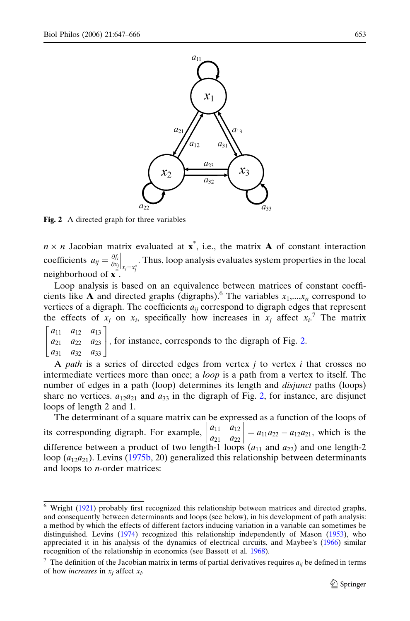

Fig. 2 A directed graph for three variables

 $n \times n$  Jacobian matrix evaluated at  $\mathbf{x}^*$ , i.e., the matrix **A** of constant interaction coefficients  $a_{ij} = \frac{\partial f_i}{\partial x_j}$  $x_i = x_i^*$ . Thus, loop analysis evaluates system properties in the local neighborhood of  $\mathbf{x}^*$ .

Loop analysis is based on an equivalence between matrices of constant coefficients like **A** and directed graphs (digraphs).<sup>6</sup> The variables  $x_1,...,x_n$  correspond to vertices of a digraph. The coefficients  $a_{ii}$  correspond to digraph edges that represent the effects of  $x_j$  on  $x_i$ , specifically how increases in  $x_j$  affect  $x_i$ <sup>7</sup>. The matrix  $\overline{1}$ 

 $a_{11}$   $a_{12}$   $a_{13}$ ]  $a_{21}$   $a_{22}$   $a_{23}$ , for instance, corresponds to the digraph of Fig. 2.  $a_{31}$   $a_{32}$   $a_{33}$ 4

A path is a series of directed edges from vertex  $i$  to vertex  $i$  that crosses no intermediate vertices more than once; a *loop* is a path from a vertex to itself. The number of edges in a path (loop) determines its length and *disjunct* paths (loops) share no vertices.  $a_{12}a_{21}$  and  $a_{33}$  in the digraph of Fig. 2, for instance, are disjunct loops of length 2 and 1.

The determinant of a square matrix can be expressed as a function of the loops of its corresponding digraph. For example,  $a_{21}$   $a_{22}$  $\overline{\phantom{a}}$  $= a_{11}a_{22} - a_{12}a_{21}$ , which is the difference between a product of two length-1 loops  $(a_{11}$  and  $a_{22})$  and one length-2 loop  $(a_{12}a_{21})$ . Levins [\(1975b,](#page-18-0) 20) generalized this relationship between determinants and loops to  $n$ -order matrices:

 $6$  Wright [\(1921](#page-19-0)) probably first recognized this relationship between matrices and directed graphs, and consequently between determinants and loops (see below), in his development of path analysis: a method by which the effects of different factors inducing variation in a variable can sometimes be distinguished. Levins [\(1974\)](#page-18-0) recognized this relationship independently of Mason ([1953\)](#page-19-0), who appreciated it in his analysis of the dynamics of electrical circuits, and Maybee's ([1966](#page-19-0)) similar recognition of the relationship in economics (see Bassett et al. [1968](#page-18-0)).

<sup>&</sup>lt;sup>7</sup> The definition of the Jacobian matrix in terms of partial derivatives requires  $a_{ij}$  be defined in terms of how *increases* in  $x_i$  affect  $x_i$ .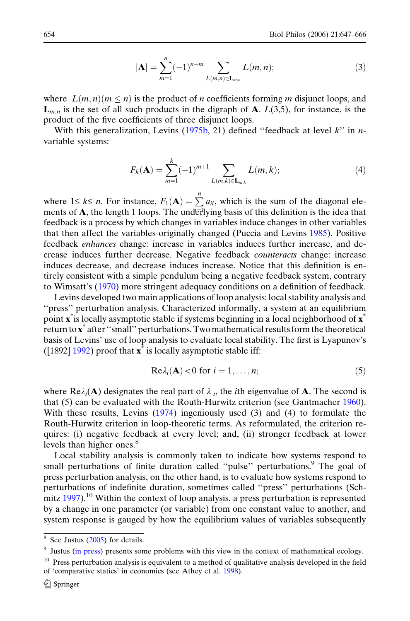$$
|\mathbf{A}| = \sum_{m=1}^{n} (-1)^{n-m} \sum_{L(m,n) \in \mathbf{L}_{m,n}} L(m,n); \tag{3}
$$

where  $L(m, n)(m \le n)$  is the product of n coefficients forming m disjunct loops, and  $L_{mn}$  is the set of all such products in the digraph of **A**.  $L(3,5)$ , for instance, is the product of the five coefficients of three disjunct loops.

With this generalization, Levins ([1975b,](#page-18-0) 21) defined "feedback at level k" in nvariable systems:

$$
F_k(\mathbf{A}) = \sum_{m=1}^k (-1)^{m+1} \sum_{L(m,k)\in \mathbf{L}_{m,k}} L(m,k); \tag{4}
$$

where  $1 \le k \le n$ . For instance,  $F_1(\mathbf{A}) = \sum_{i=1}^{n} a_{ii}$ , which is the sum of the diagonal elements of  $A$ , the length 1 loops. The underlying basis of this definition is the idea that feedback is a process by which changes in variables induce changes in other variables that then affect the variables originally changed (Puccia and Levins [1985\)](#page-19-0). Positive feedback enhances change: increase in variables induces further increase, and decrease induces further decrease. Negative feedback counteracts change: increase induces decrease, and decrease induces increase. Notice that this definition is entirely consistent with a simple pendulum being a negative feedback system, contrary to Wimsatt's [\(1970\)](#page-19-0) more stringent adequacy conditions on a definition of feedback.

Levins developed two main applications of loop analysis: local stability analysis and "press" perturbation analysis. Characterized informally, a system at an equilibrium point  $\boldsymbol{x}^*$ is locally asymptotic stable if systems beginning in a local neighborhood of  $\boldsymbol{x}^*$ return to x\* after ''small'' perturbations. Two mathematical results form the theoretical basis of Levins' use of loop analysis to evaluate local stability. The first is Lyapunov's ([1892] [1992\)](#page-19-0) proof that  $\mathbf{x}^*$  is locally asymptotic stable iff:

$$
\text{Re}\lambda_i(\mathbf{A}) < 0 \text{ for } i = 1, \dots, n; \tag{5}
$$

where  $\text{Re}\lambda_i(\mathbf{A})$  designates the real part of  $\lambda_i$ , the *i*th eigenvalue of **A**. The second is that (5) can be evaluated with the Routh-Hurwitz criterion (see Gantmacher [1960\)](#page-18-0). With these results, Levins ([1974\)](#page-18-0) ingeniously used (3) and (4) to formulate the Routh-Hurwitz criterion in loop-theoretic terms. As reformulated, the criterion requires: (i) negative feedback at every level; and, (ii) stronger feedback at lower levels than higher ones.<sup>8</sup>

Local stability analysis is commonly taken to indicate how systems respond to small perturbations of finite duration called "pulse" perturbations. The goal of press perturbation analysis, on the other hand, is to evaluate how systems respond to perturbations of indefinite duration, sometimes called ''press'' perturbations (Sch-mitz [1997](#page-19-0)).<sup>10</sup> Within the context of loop analysis, a press perturbation is represented by a change in one parameter (or variable) from one constant value to another, and system response is gauged by how the equilibrium values of variables subsequently

<sup>8</sup> See Justus ([2005](#page-18-0)) for details.

Justus ([in press](#page-18-0)) presents some problems with this view in the context of mathematical ecology.

 $10$  Press perturbation analysis is equivalent to a method of qualitative analysis developed in the field of 'comparative statics' in economics (see Athey et al. [1998](#page-18-0)).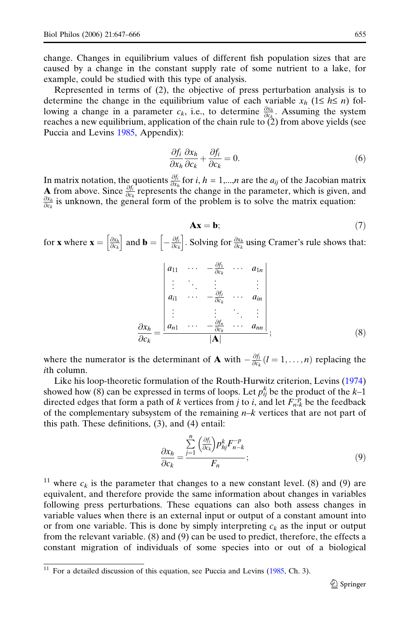change. Changes in equilibrium values of different fish population sizes that are caused by a change in the constant supply rate of some nutrient to a lake, for example, could be studied with this type of analysis.

Represented in terms of (2), the objective of press perturbation analysis is to determine the change in the equilibrium value of each variable  $x_h$  (1 $\leq h \leq n$ ) following a change in a parameter  $c_k$ , i.e., to determine  $\frac{\partial x_h}{\partial c_k}$ . Assuming the system reaches a new equilibrium, application of the chain rule to  $(2)$  from above yields (see Puccia and Levins [1985,](#page-19-0) Appendix):

$$
\frac{\partial f_i}{\partial x_h} \frac{\partial x_h}{\partial c_k} + \frac{\partial f_i}{\partial c_k} = 0.
$$
\n(6)

In matrix notation, the quotients  $\frac{\partial f_i}{\partial x_h}$  for *i*, *h* = 1,...,*n* are the  $a_{ij}$  of the Jacobian matrix **A** from above. Since  $\frac{\partial f_i}{\partial c_k}$  represents the change in the parameter, which is given, and  $\frac{\partial x_h}{\partial c_k}$  is unknown, the general form of the problem is to solve the matrix equation:

$$
\mathbf{A}\mathbf{x} = \mathbf{b};\tag{7}
$$

for **x** where  $\mathbf{x} = \begin{bmatrix} \frac{\partial x_h}{\partial c_k} \end{bmatrix}$  and  $\mathbf{b} = \begin{bmatrix} -\frac{\partial f_i}{\partial c_k} \end{bmatrix}$ . Solving for  $\frac{\partial x_h}{\partial c_k}$  using Cramer's rule shows that:

$$
\frac{\partial x_h}{\partial c_k} = \frac{\begin{vmatrix} a_{11} & \cdots & -\frac{\partial f_1}{\partial c_k} & \cdots & a_{1n} \\ \vdots & \ddots & \vdots & & \vdots \\ a_{i1} & \cdots & -\frac{\partial f_i}{\partial c_k} & \cdots & a_{in} \\ \vdots & & \vdots & \ddots & \vdots \\ a_{n1} & \cdots & -\frac{\partial f_n}{\partial c_k} & \cdots & a_{nn} \end{vmatrix}}{\begin{vmatrix} \mathbf{A} \end{vmatrix}} ;
$$
 (8)

where the numerator is the determinant of **A** with  $-\frac{\partial f_i}{\partial c_k}$   $(l = 1, \ldots, n)$  replacing the ith column.

Like his loop-theoretic formulation of the Routh-Hurwitz criterion, Levins [\(1974\)](#page-18-0) showed how (8) can be expressed in terms of loops. Let  $p_{ij}^k$  be the product of the  $k-1$ directed edges that form a path of k vertices from j to i, and let  $F_{n-k}^{-p}$  be the feedback of the complementary subsystem of the remaining  $n-k$  vertices that are not part of this path. These definitions, (3), and (4) entail:

$$
\frac{\partial x_h}{\partial c_k} = \frac{\sum_{j=1}^n \left(\frac{\partial f_j}{\partial c_k}\right) p_{hj}^k F_{n-k}^{-p}}{F_n};\tag{9}
$$

<sup>11</sup> where  $c_k$  is the parameter that changes to a new constant level. (8) and (9) are equivalent, and therefore provide the same information about changes in variables following press perturbations. These equations can also both assess changes in variable values when there is an external input or output of a constant amount into or from one variable. This is done by simply interpreting  $c_k$  as the input or output from the relevant variable. (8) and (9) can be used to predict, therefore, the effects a constant migration of individuals of some species into or out of a biological

 $11$  For a detailed discussion of this equation, see Puccia and Levins ([1985,](#page-19-0) Ch. 3).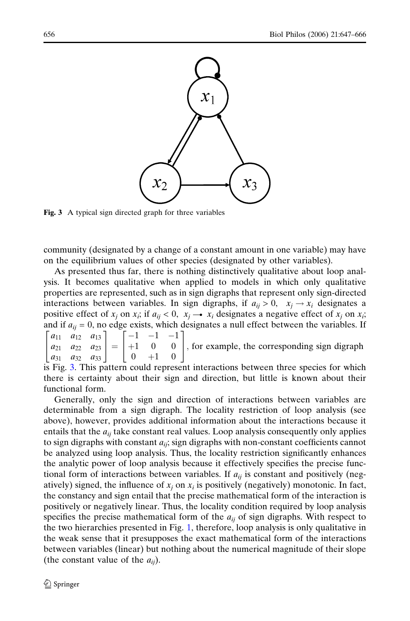<span id="page-9-0"></span>

Fig. 3 A typical sign directed graph for three variables

community (designated by a change of a constant amount in one variable) may have on the equilibrium values of other species (designated by other variables).

As presented thus far, there is nothing distinctively qualitative about loop analysis. It becomes qualitative when applied to models in which only qualitative properties are represented, such as in sign digraphs that represent only sign-directed interactions between variables. In sign digraphs, if  $a_{ii} > 0$ ,  $x_i \rightarrow x_i$  designates a positive effect of  $x_i$  on  $x_i$ ; if  $a_{ij} < 0$ ,  $x_j \rightarrow x_i$  designates a negative effect of  $x_j$  on  $x_i$ ; and if  $a_{ij} = 0$ , no edge exists, which designates a null effect between the variables. If  $a_{11}$   $a_{12}$   $a_{13}$  $[a_{11} \quad a_{12} \quad a_{13}]$  $\begin{bmatrix} -1 & -1 & -1 \end{bmatrix}$ 

 $a_{21}$   $a_{22}$   $a_{23}$  $a_{31}$   $a_{32}$   $a_{33}$  $|a_{21} \quad a_{22} \quad a_{23}| = |+1 \quad 0 \quad 0$  $0 +1 0$  $\begin{bmatrix} +1 & 0 & 0 \end{bmatrix}$ , for example, the corresponding sign digraph

is Fig. 3. This pattern could represent interactions between three species for which there is certainty about their sign and direction, but little is known about their functional form.

Generally, only the sign and direction of interactions between variables are determinable from a sign digraph. The locality restriction of loop analysis (see above), however, provides additional information about the interactions because it entails that the  $a_{ii}$  take constant real values. Loop analysis consequently only applies to sign digraphs with constant  $a_{ii}$ ; sign digraphs with non-constant coefficients cannot be analyzed using loop analysis. Thus, the locality restriction significantly enhances the analytic power of loop analysis because it effectively specifies the precise functional form of interactions between variables. If  $a_{ii}$  is constant and positively (negatively) signed, the influence of  $x_i$  on  $x_i$  is positively (negatively) monotonic. In fact, the constancy and sign entail that the precise mathematical form of the interaction is positively or negatively linear. Thus, the locality condition required by loop analysis specifies the precise mathematical form of the  $a_{ii}$  of sign digraphs. With respect to the two hierarchies presented in Fig. [1](#page-5-0), therefore, loop analysis is only qualitative in the weak sense that it presupposes the exact mathematical form of the interactions between variables (linear) but nothing about the numerical magnitude of their slope (the constant value of the  $a_{ij}$ ).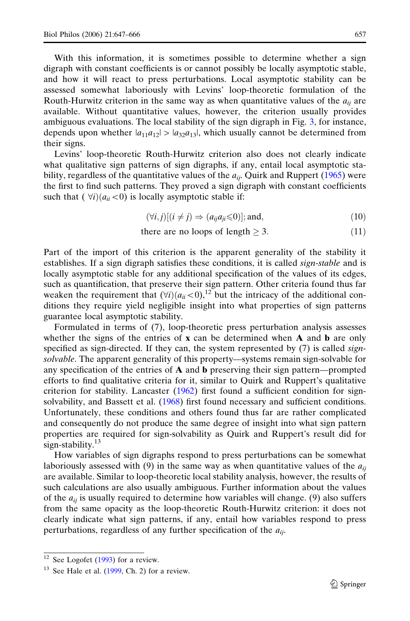With this information, it is sometimes possible to determine whether a sign digraph with constant coefficients is or cannot possibly be locally asymptotic stable, and how it will react to press perturbations. Local asymptotic stability can be assessed somewhat laboriously with Levins' loop-theoretic formulation of the Routh-Hurwitz criterion in the same way as when quantitative values of the  $a_{ii}$  are available. Without quantitative values, however, the criterion usually provides ambiguous evaluations. The local stability of the sign digraph in Fig. [3,](#page-9-0) for instance, depends upon whether  $|a_{11}a_{12}| > |a_{32}a_{13}|$ , which usually cannot be determined from their signs.

Levins' loop-theoretic Routh-Hurwitz criterion also does not clearly indicate what qualitative sign patterns of sign digraphs, if any, entail local asymptotic stability, regardless of the quantitative values of the  $a_{ii}$ . Quirk and Ruppert ([1965\)](#page-19-0) were the first to find such patterns. They proved a sign digraph with constant coefficients such that ( $\forall i|(a_{ii} < 0)$  is locally asymptotic stable if:

$$
(\forall i,j)[(i \neq j) \Rightarrow (a_{ij}a_{ji}\leq 0)];\text{and},\tag{10}
$$

there are no loops of length  $\geq 3$ .  $(11)$ 

Part of the import of this criterion is the apparent generality of the stability it establishes. If a sign digraph satisfies these conditions, it is called sign-stable and is locally asymptotic stable for any additional specification of the values of its edges, such as quantification, that preserve their sign pattern. Other criteria found thus far weaken the requirement that  $(\forall i)(a_{ii} < 0)$ ,<sup>12</sup> but the intricacy of the additional conditions they require yield negligible insight into what properties of sign patterns guarantee local asymptotic stability.

Formulated in terms of (7), loop-theoretic press perturbation analysis assesses whether the signs of the entries of  $x$  can be determined when  $A$  and  $b$  are only specified as sign-directed. If they can, the system represented by (7) is called *sign*solvable. The apparent generality of this property—systems remain sign-solvable for any specification of the entries of A and b preserving their sign pattern—prompted efforts to find qualitative criteria for it, similar to Quirk and Ruppert's qualitative criterion for stability. Lancaster [\(1962](#page-18-0)) first found a sufficient condition for signsolvability, and Bassett et al. ([1968\)](#page-18-0) first found necessary and sufficient conditions. Unfortunately, these conditions and others found thus far are rather complicated and consequently do not produce the same degree of insight into what sign pattern properties are required for sign-solvability as Quirk and Ruppert's result did for sign-stability.<sup>13</sup>

How variables of sign digraphs respond to press perturbations can be somewhat laboriously assessed with (9) in the same way as when quantitative values of the  $a_{ij}$ are available. Similar to loop-theoretic local stability analysis, however, the results of such calculations are also usually ambiguous. Further information about the values of the  $a_{ii}$  is usually required to determine how variables will change. (9) also suffers from the same opacity as the loop-theoretic Routh-Hurwitz criterion: it does not clearly indicate what sign patterns, if any, entail how variables respond to press perturbations, regardless of any further specification of the  $a_{ij}$ .

 $12$  See Logofet ([1993\)](#page-19-0) for a review.

 $13$  See Hale et al. [\(1999](#page-18-0), Ch. 2) for a review.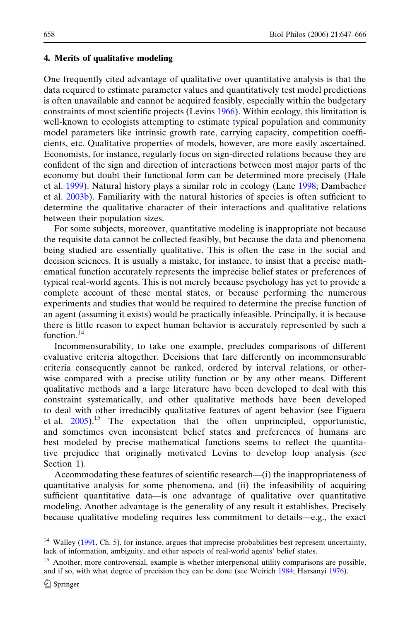#### 4. Merits of qualitative modeling

One frequently cited advantage of qualitative over quantitative analysis is that the data required to estimate parameter values and quantitatively test model predictions is often unavailable and cannot be acquired feasibly, especially within the budgetary constraints of most scientific projects (Levins [1966\)](#page-18-0). Within ecology, this limitation is well-known to ecologists attempting to estimate typical population and community model parameters like intrinsic growth rate, carrying capacity, competition coefficients, etc. Qualitative properties of models, however, are more easily ascertained. Economists, for instance, regularly focus on sign-directed relations because they are confident of the sign and direction of interactions between most major parts of the economy but doubt their functional form can be determined more precisely (Hale et al. [1999\)](#page-18-0). Natural history plays a similar role in ecology (Lane [1998;](#page-18-0) Dambacher et al. [2003b](#page-18-0)). Familiarity with the natural histories of species is often sufficient to determine the qualitative character of their interactions and qualitative relations between their population sizes.

For some subjects, moreover, quantitative modeling is inappropriate not because the requisite data cannot be collected feasibly, but because the data and phenomena being studied are essentially qualitative. This is often the case in the social and decision sciences. It is usually a mistake, for instance, to insist that a precise mathematical function accurately represents the imprecise belief states or preferences of typical real-world agents. This is not merely because psychology has yet to provide a complete account of these mental states, or because performing the numerous experiments and studies that would be required to determine the precise function of an agent (assuming it exists) would be practically infeasible. Principally, it is because there is little reason to expect human behavior is accurately represented by such a function.<sup>14</sup>

Incommensurability, to take one example, precludes comparisons of different evaluative criteria altogether. Decisions that fare differently on incommensurable criteria consequently cannot be ranked, ordered by interval relations, or otherwise compared with a precise utility function or by any other means. Different qualitative methods and a large literature have been developed to deal with this constraint systematically, and other qualitative methods have been developed to deal with other irreducibly qualitative features of agent behavior (see Figuera et al. [2005\)](#page-18-0).<sup>15</sup> The expectation that the often unprincipled, opportunistic, and sometimes even inconsistent belief states and preferences of humans are best modeled by precise mathematical functions seems to reflect the quantitative prejudice that originally motivated Levins to develop loop analysis (see Section 1).

Accommodating these features of scientific research—(i) the inappropriateness of quantitative analysis for some phenomena, and (ii) the infeasibility of acquiring sufficient quantitative data—is one advantage of qualitative over quantitative modeling. Another advantage is the generality of any result it establishes. Precisely because qualitative modeling requires less commitment to details—e.g., the exact

<sup>&</sup>lt;sup>14</sup> Walley ([1991](#page-19-0), Ch. 5), for instance, argues that imprecise probabilities best represent uncertainty, lack of information, ambiguity, and other aspects of real-world agents' belief states.

<sup>&</sup>lt;sup>15</sup> Another, more controversial, example is whether interpersonal utility comparisons are possible, and if so, with what degree of precision they can be done (see Weirich [1984](#page-19-0); Harsanyi [1976\)](#page-18-0).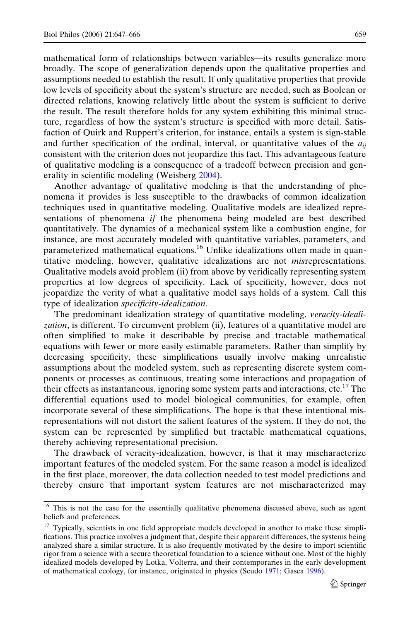mathematical form of relationships between variables—its results generalize more broadly. The scope of generalization depends upon the qualitative properties and assumptions needed to establish the result. If only qualitative properties that provide low levels of specificity about the system's structure are needed, such as Boolean or directed relations, knowing relatively little about the system is sufficient to derive the result. The result therefore holds for any system exhibiting this minimal structure, regardless of how the system's structure is specified with more detail. Satisfaction of Quirk and Ruppert's criterion, for instance, entails a system is sign-stable and further specification of the ordinal, interval, or quantitative values of the  $a_{ii}$ consistent with the criterion does not jeopardize this fact. This advantageous feature of qualitative modeling is a consequence of a tradeoff between precision and generality in scientific modeling (Weisberg [2004](#page-19-0)).

Another advantage of qualitative modeling is that the understanding of phenomena it provides is less susceptible to the drawbacks of common idealization techniques used in quantitative modeling. Qualitative models are idealized representations of phenomena *if* the phenomena being modeled are best described quantitatively. The dynamics of a mechanical system like a combustion engine, for instance, are most accurately modeled with quantitative variables, parameters, and parameterized mathematical equations.<sup>16</sup> Unlike idealizations often made in quantitative modeling, however, qualitative idealizations are not misrepresentations. Qualitative models avoid problem (ii) from above by veridically representing system properties at low degrees of specificity. Lack of specificity, however, does not jeopardize the verity of what a qualitative model says holds of a system. Call this type of idealization specificity-idealization.

The predominant idealization strategy of quantitative modeling, veracity-idealization, is different. To circumvent problem (ii), features of a quantitative model are often simplified to make it describable by precise and tractable mathematical equations with fewer or more easily estimable parameters. Rather than simplify by decreasing specificity, these simplifications usually involve making unrealistic assumptions about the modeled system, such as representing discrete system components or processes as continuous, treating some interactions and propagation of their effects as instantaneous, ignoring some system parts and interactions, etc.<sup>17</sup> The differential equations used to model biological communities, for example, often incorporate several of these simplifications. The hope is that these intentional misrepresentations will not distort the salient features of the system. If they do not, the system can be represented by simplified but tractable mathematical equations, thereby achieving representational precision.

The drawback of veracity-idealization, however, is that it may mischaracterize important features of the modeled system. For the same reason a model is idealized in the first place, moreover, the data collection needed to test model predictions and thereby ensure that important system features are not mischaracterized may

<sup>&</sup>lt;sup>16</sup> This is not the case for the essentially qualitative phenomena discussed above, such as agent beliefs and preferences.

<sup>&</sup>lt;sup>17</sup> Typically, scientists in one field appropriate models developed in another to make these simplifications. This practice involves a judgment that, despite their apparent differences, the systems being analyzed share a similar structure. It is also frequently motivated by the desire to import scientific rigor from a science with a secure theoretical foundation to a science without one. Most of the highly idealized models developed by Lotka, Volterra, and their contemporaries in the early development of mathematical ecology, for instance, originated in physics (Scudo [1971;](#page-19-0) Gasca [1996](#page-18-0)).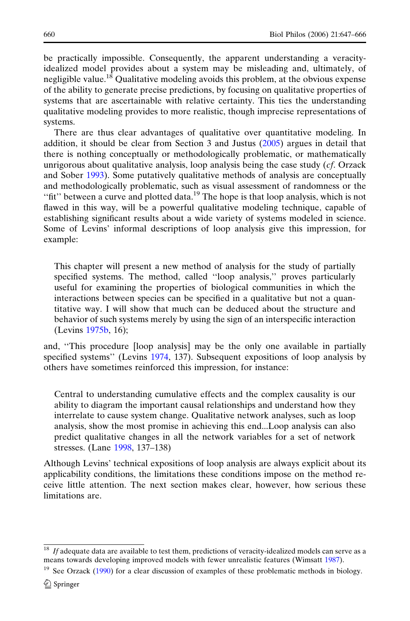be practically impossible. Consequently, the apparent understanding a veracityidealized model provides about a system may be misleading and, ultimately, of negligible value.<sup>18</sup> Qualitative modeling avoids this problem, at the obvious expense of the ability to generate precise predictions, by focusing on qualitative properties of systems that are ascertainable with relative certainty. This ties the understanding qualitative modeling provides to more realistic, though imprecise representations of systems.

There are thus clear advantages of qualitative over quantitative modeling. In addition, it should be clear from Section 3 and Justus ([2005](#page-18-0)) argues in detail that there is nothing conceptually or methodologically problematic, or mathematically unrigorous about qualitative analysis, loop analysis being the case study  $(cf)$ . Orzack and Sober [1993\)](#page-19-0). Some putatively qualitative methods of analysis are conceptually and methodologically problematic, such as visual assessment of randomness or the "fit" between a curve and plotted data.<sup>19</sup> The hope is that loop analysis, which is not flawed in this way, will be a powerful qualitative modeling technique, capable of establishing significant results about a wide variety of systems modeled in science. Some of Levins' informal descriptions of loop analysis give this impression, for example:

This chapter will present a new method of analysis for the study of partially specified systems. The method, called ''loop analysis,'' proves particularly useful for examining the properties of biological communities in which the interactions between species can be specified in a qualitative but not a quantitative way. I will show that much can be deduced about the structure and behavior of such systems merely by using the sign of an interspecific interaction (Levins [1975b](#page-18-0), 16);

and, ''This procedure [loop analysis] may be the only one available in partially specified systems" (Levins [1974,](#page-18-0) 137). Subsequent expositions of loop analysis by others have sometimes reinforced this impression, for instance:

Central to understanding cumulative effects and the complex causality is our ability to diagram the important causal relationships and understand how they interrelate to cause system change. Qualitative network analyses, such as loop analysis, show the most promise in achieving this end...Loop analysis can also predict qualitative changes in all the network variables for a set of network stresses. (Lane [1998](#page-18-0), 137–138)

Although Levins' technical expositions of loop analysis are always explicit about its applicability conditions, the limitations these conditions impose on the method receive little attention. The next section makes clear, however, how serious these limitations are.

If adequate data are available to test them, predictions of veracity-idealized models can serve as a means towards developing improved models with fewer unrealistic features (Wimsatt [1987](#page-19-0)).

See Orzack ([1990](#page-19-0)) for a clear discussion of examples of these problematic methods in biology.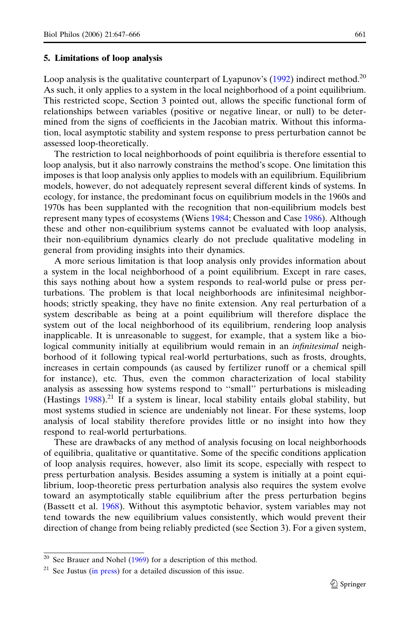#### 5. Limitations of loop analysis

Loop analysis is the qualitative counterpart of Lyapunov's  $(1992)$  $(1992)$  indirect method.<sup>20</sup> As such, it only applies to a system in the local neighborhood of a point equilibrium. This restricted scope, Section 3 pointed out, allows the specific functional form of relationships between variables (positive or negative linear, or null) to be determined from the signs of coefficients in the Jacobian matrix. Without this information, local asymptotic stability and system response to press perturbation cannot be assessed loop-theoretically.

The restriction to local neighborhoods of point equilibria is therefore essential to loop analysis, but it also narrowly constrains the method's scope. One limitation this imposes is that loop analysis only applies to models with an equilibrium. Equilibrium models, however, do not adequately represent several different kinds of systems. In ecology, for instance, the predominant focus on equilibrium models in the 1960s and 1970s has been supplanted with the recognition that non-equilibrium models best represent many types of ecosystems (Wiens [1984](#page-19-0); Chesson and Case [1986](#page-18-0)). Although these and other non-equilibrium systems cannot be evaluated with loop analysis, their non-equilibrium dynamics clearly do not preclude qualitative modeling in general from providing insights into their dynamics.

A more serious limitation is that loop analysis only provides information about a system in the local neighborhood of a point equilibrium. Except in rare cases, this says nothing about how a system responds to real-world pulse or press perturbations. The problem is that local neighborhoods are infinitesimal neighborhoods; strictly speaking, they have no finite extension. Any real perturbation of a system describable as being at a point equilibrium will therefore displace the system out of the local neighborhood of its equilibrium, rendering loop analysis inapplicable. It is unreasonable to suggest, for example, that a system like a biological community initially at equilibrium would remain in an *infinitesimal* neighborhood of it following typical real-world perturbations, such as frosts, droughts, increases in certain compounds (as caused by fertilizer runoff or a chemical spill for instance), etc. Thus, even the common characterization of local stability analysis as assessing how systems respond to ''small'' perturbations is misleading (Hastings  $1988$ ).<sup>21</sup> If a system is linear, local stability entails global stability, but most systems studied in science are undeniably not linear. For these systems, loop analysis of local stability therefore provides little or no insight into how they respond to real-world perturbations.

These are drawbacks of any method of analysis focusing on local neighborhoods of equilibria, qualitative or quantitative. Some of the specific conditions application of loop analysis requires, however, also limit its scope, especially with respect to press perturbation analysis. Besides assuming a system is initially at a point equilibrium, loop-theoretic press perturbation analysis also requires the system evolve toward an asymptotically stable equilibrium after the press perturbation begins (Bassett et al. [1968\)](#page-18-0). Without this asymptotic behavior, system variables may not tend towards the new equilibrium values consistently, which would prevent their direction of change from being reliably predicted (see Section 3). For a given system,

 $20$  See Brauer and Nohel ([1969\)](#page-18-0) for a description of this method.

 $21$  See Justus ([in press](#page-18-0)) for a detailed discussion of this issue.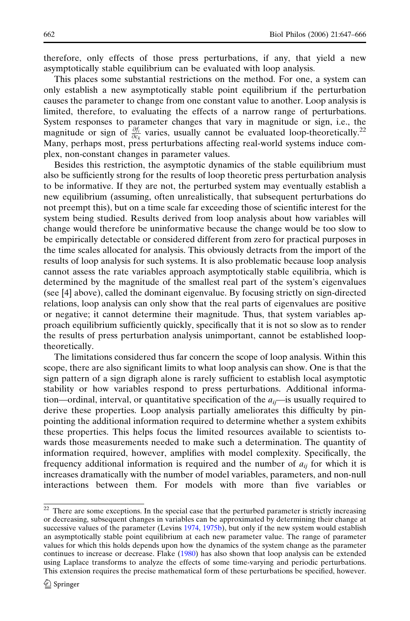therefore, only effects of those press perturbations, if any, that yield a new asymptotically stable equilibrium can be evaluated with loop analysis.

This places some substantial restrictions on the method. For one, a system can only establish a new asymptotically stable point equilibrium if the perturbation causes the parameter to change from one constant value to another. Loop analysis is limited, therefore, to evaluating the effects of a narrow range of perturbations. System responses to parameter changes that vary in magnitude or sign, i.e., the magnitude or sign of  $\frac{\partial f_i}{\partial c_k}$  varies, usually cannot be evaluated loop-theoretically.<sup>22</sup> Many, perhaps most, press perturbations affecting real-world systems induce complex, non-constant changes in parameter values.

Besides this restriction, the asymptotic dynamics of the stable equilibrium must also be sufficiently strong for the results of loop theoretic press perturbation analysis to be informative. If they are not, the perturbed system may eventually establish a new equilibrium (assuming, often unrealistically, that subsequent perturbations do not preempt this), but on a time scale far exceeding those of scientific interest for the system being studied. Results derived from loop analysis about how variables will change would therefore be uninformative because the change would be too slow to be empirically detectable or considered different from zero for practical purposes in the time scales allocated for analysis. This obviously detracts from the import of the results of loop analysis for such systems. It is also problematic because loop analysis cannot assess the rate variables approach asymptotically stable equilibria, which is determined by the magnitude of the smallest real part of the system's eigenvalues (see [4] above), called the dominant eigenvalue. By focusing strictly on sign-directed relations, loop analysis can only show that the real parts of eigenvalues are positive or negative; it cannot determine their magnitude. Thus, that system variables approach equilibrium sufficiently quickly, specifically that it is not so slow as to render the results of press perturbation analysis unimportant, cannot be established looptheoretically.

The limitations considered thus far concern the scope of loop analysis. Within this scope, there are also significant limits to what loop analysis can show. One is that the sign pattern of a sign digraph alone is rarely sufficient to establish local asymptotic stability or how variables respond to press perturbations. Additional information—ordinal, interval, or quantitative specification of the  $a_{ij}$ —is usually required to derive these properties. Loop analysis partially ameliorates this difficulty by pinpointing the additional information required to determine whether a system exhibits these properties. This helps focus the limited resources available to scientists towards those measurements needed to make such a determination. The quantity of information required, however, amplifies with model complexity. Specifically, the frequency additional information is required and the number of  $a_{ii}$  for which it is increases dramatically with the number of model variables, parameters, and non-null interactions between them. For models with more than five variables or

<sup>&</sup>lt;sup>22</sup> There are some exceptions. In the special case that the perturbed parameter is strictly increasing or decreasing, subsequent changes in variables can be approximated by determining their change at successive values of the parameter (Levins [1974](#page-18-0), [1975b\)](#page-18-0), but only if the new system would establish an asymptotically stable point equilibrium at each new parameter value. The range of parameter values for which this holds depends upon how the dynamics of the system change as the parameter continues to increase or decrease. Flake ([1980\)](#page-18-0) has also shown that loop analysis can be extended using Laplace transforms to analyze the effects of some time-varying and periodic perturbations. This extension requires the precise mathematical form of these perturbations be specified, however.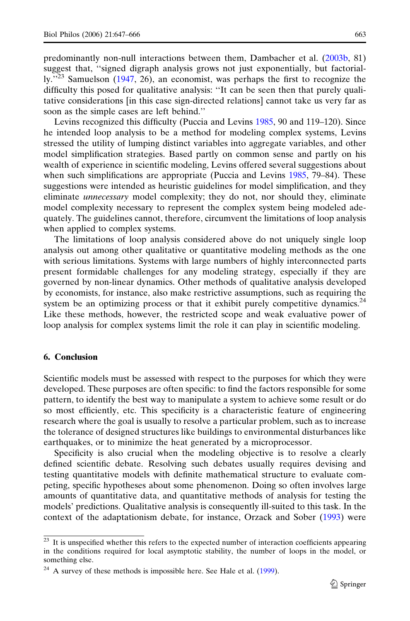predominantly non-null interactions between them, Dambacher et al. ([2003b](#page-18-0), 81) suggest that, ''signed digraph analysis grows not just exponentially, but factorial-ly."<sup>23</sup> Samuelson ([1947,](#page-19-0) 26), an economist, was perhaps the first to recognize the difficulty this posed for qualitative analysis: ''It can be seen then that purely qualitative considerations [in this case sign-directed relations] cannot take us very far as soon as the simple cases are left behind.''

Levins recognized this difficulty (Puccia and Levins [1985,](#page-19-0) 90 and 119–120). Since he intended loop analysis to be a method for modeling complex systems, Levins stressed the utility of lumping distinct variables into aggregate variables, and other model simplification strategies. Based partly on common sense and partly on his wealth of experience in scientific modeling, Levins offered several suggestions about when such simplifications are appropriate (Puccia and Levins [1985,](#page-19-0) 79–84). These suggestions were intended as heuristic guidelines for model simplification, and they eliminate *unnecessary* model complexity; they do not, nor should they, eliminate model complexity necessary to represent the complex system being modeled adequately. The guidelines cannot, therefore, circumvent the limitations of loop analysis when applied to complex systems.

The limitations of loop analysis considered above do not uniquely single loop analysis out among other qualitative or quantitative modeling methods as the one with serious limitations. Systems with large numbers of highly interconnected parts present formidable challenges for any modeling strategy, especially if they are governed by non-linear dynamics. Other methods of qualitative analysis developed by economists, for instance, also make restrictive assumptions, such as requiring the system be an optimizing process or that it exhibit purely competitive dynamics.<sup>24</sup> Like these methods, however, the restricted scope and weak evaluative power of loop analysis for complex systems limit the role it can play in scientific modeling.

### 6. Conclusion

Scientific models must be assessed with respect to the purposes for which they were developed. These purposes are often specific: to find the factors responsible for some pattern, to identify the best way to manipulate a system to achieve some result or do so most efficiently, etc. This specificity is a characteristic feature of engineering research where the goal is usually to resolve a particular problem, such as to increase the tolerance of designed structures like buildings to environmental disturbances like earthquakes, or to minimize the heat generated by a microprocessor.

Specificity is also crucial when the modeling objective is to resolve a clearly defined scientific debate. Resolving such debates usually requires devising and testing quantitative models with definite mathematical structure to evaluate competing, specific hypotheses about some phenomenon. Doing so often involves large amounts of quantitative data, and quantitative methods of analysis for testing the models' predictions. Qualitative analysis is consequently ill-suited to this task. In the context of the adaptationism debate, for instance, Orzack and Sober [\(1993](#page-19-0)) were

<sup>&</sup>lt;sup>23</sup> It is unspecified whether this refers to the expected number of interaction coefficients appearing in the conditions required for local asymptotic stability, the number of loops in the model, or something else.

 $24$  A survey of these methods is impossible here. See Hale et al. [\(1999](#page-18-0)).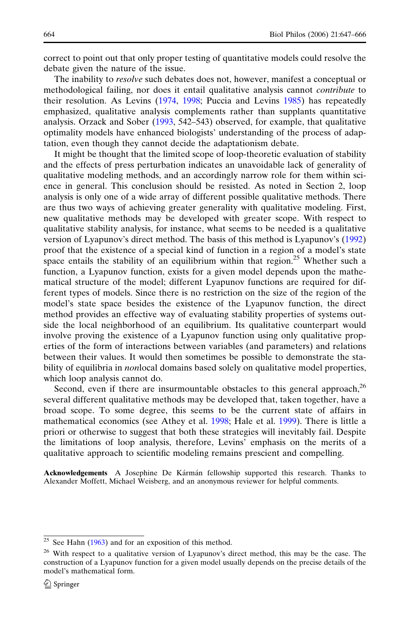correct to point out that only proper testing of quantitative models could resolve the debate given the nature of the issue.

The inability to resolve such debates does not, however, manifest a conceptual or methodological failing, nor does it entail qualitative analysis cannot contribute to their resolution. As Levins [\(1974,](#page-18-0) [1998;](#page-18-0) Puccia and Levins [1985\)](#page-19-0) has repeatedly emphasized, qualitative analysis complements rather than supplants quantitative analysis. Orzack and Sober ([1993,](#page-19-0) 542–543) observed, for example, that qualitative optimality models have enhanced biologists' understanding of the process of adaptation, even though they cannot decide the adaptationism debate.

It might be thought that the limited scope of loop-theoretic evaluation of stability and the effects of press perturbation indicates an unavoidable lack of generality of qualitative modeling methods, and an accordingly narrow role for them within science in general. This conclusion should be resisted. As noted in Section 2, loop analysis is only one of a wide array of different possible qualitative methods. There are thus two ways of achieving greater generality with qualitative modeling. First, new qualitative methods may be developed with greater scope. With respect to qualitative stability analysis, for instance, what seems to be needed is a qualitative version of Lyapunov's direct method. The basis of this method is Lyapunov's [\(1992\)](#page-19-0) proof that the existence of a special kind of function in a region of a model's state space entails the stability of an equilibrium within that region.<sup>25</sup> Whether such a function, a Lyapunov function, exists for a given model depends upon the mathematical structure of the model; different Lyapunov functions are required for different types of models. Since there is no restriction on the size of the region of the model's state space besides the existence of the Lyapunov function, the direct method provides an effective way of evaluating stability properties of systems outside the local neighborhood of an equilibrium. Its qualitative counterpart would involve proving the existence of a Lyapunov function using only qualitative properties of the form of interactions between variables (and parameters) and relations between their values. It would then sometimes be possible to demonstrate the stability of equilibria in *non*local domains based solely on qualitative model properties, which loop analysis cannot do.

Second, even if there are insurmountable obstacles to this general approach,<sup>26</sup> several different qualitative methods may be developed that, taken together, have a broad scope. To some degree, this seems to be the current state of affairs in mathematical economics (see Athey et al. [1998](#page-18-0); Hale et al. [1999\)](#page-18-0). There is little a priori or otherwise to suggest that both these strategies will inevitably fail. Despite the limitations of loop analysis, therefore, Levins' emphasis on the merits of a qualitative approach to scientific modeling remains prescient and compelling.

Acknowledgements A Josephine De Kármán fellowship supported this research. Thanks to Alexander Moffett, Michael Weisberg, and an anonymous reviewer for helpful comments.

<sup>&</sup>lt;sup>25</sup> See Hahn  $(1963)$  $(1963)$  and for an exposition of this method.

 $26$  With respect to a qualitative version of Lyapunov's direct method, this may be the case. The construction of a Lyapunov function for a given model usually depends on the precise details of the model's mathematical form.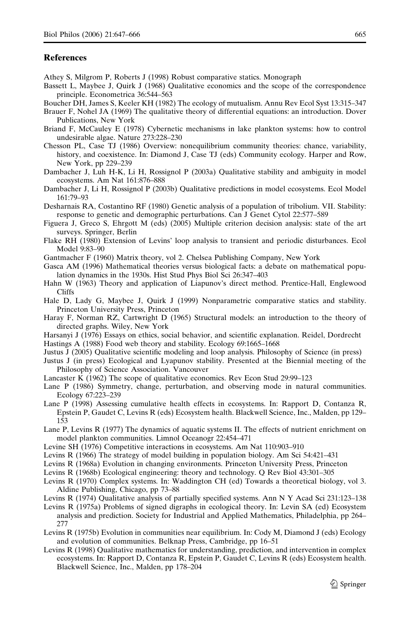#### <span id="page-18-0"></span>**References**

Athey S, Milgrom P, Roberts J (1998) Robust comparative statics. Monograph

- Bassett L, Maybee J, Quirk J (1968) Qualitative economics and the scope of the correspondence principle. Econometrica 36:544–563
- Boucher DH, James S, Keeler KH (1982) The ecology of mutualism. Annu Rev Ecol Syst 13:315–347
- Brauer F, Nohel JA (1969) The qualitative theory of differential equations: an introduction. Dover Publications, New York
- Briand F, McCauley E (1978) Cybernetic mechanisms in lake plankton systems: how to control undesirable algae. Nature 273:228–230
- Chesson PL, Case TJ (1986) Overview: nonequilibrium community theories: chance, variability, history, and coexistence. In: Diamond J, Case TJ (eds) Community ecology. Harper and Row, New York, pp 229–239
- Dambacher J, Luh H-K, Li H, Rossignol P (2003a) Qualitative stability and ambiguity in model ecosystems. Am Nat 161:876–888
- Dambacher J, Li H, Rossignol P (2003b) Qualitative predictions in model ecosystems. Ecol Model 161:79–93
- Desharnais RA, Costantino RF (1980) Genetic analysis of a population of tribolium. VII. Stability: response to genetic and demographic perturbations. Can J Genet Cytol 22:577–589
- Figuera J, Greco S, Ehrgott M (eds) (2005) Multiple criterion decision analysis: state of the art surveys. Springer, Berlin
- Flake RH (1980) Extension of Levins' loop analysis to transient and periodic disturbances. Ecol Model 9:83–90
- Gantmacher F (1960) Matrix theory, vol 2. Chelsea Publishing Company, New York

Gasca AM (1996) Mathematical theories versus biological facts: a debate on mathematical population dynamics in the 1930s. Hist Stud Phys Biol Sci 26:347–403

- Hahn W (1963) Theory and application of Liapunov's direct method. Prentice-Hall, Englewood Cliffs
- Hale D, Lady G, Maybee J, Quirk J (1999) Nonparametric comparative statics and stability. Princeton University Press, Princeton
- Haray F, Norman RZ, Cartwright D (1965) Structural models: an introduction to the theory of directed graphs. Wiley, New York
- Harsanyi J (1976) Essays on ethics, social behavior, and scientific explanation. Reidel, Dordrecht Hastings A (1988) Food web theory and stability. Ecology 69:1665–1668
- Justus J (2005) Qualitative scientific modeling and loop analysis. Philosophy of Science (in press)
- Justus J (in press) Ecological and Lyapunov stability. Presented at the Biennial meeting of the Philosophy of Science Association. Vancouver
- Lancaster K (1962) The scope of qualitative economics. Rev Econ Stud 29:99–123
- Lane P (1986) Symmetry, change, perturbation, and observing mode in natural communities. Ecology 67:223–239
- Lane P (1998) Assessing cumulative health effects in ecosystems. In: Rapport D, Contanza R, Epstein P, Gaudet C, Levins R (eds) Ecosystem health. Blackwell Science, Inc., Malden, pp 129– 153
- Lane P, Levins R (1977) The dynamics of aquatic systems II. The effects of nutrient enrichment on model plankton communities. Limnol Oceanogr 22:454–471
- Levine SH (1976) Competitive interactions in ecosystems. Am Nat 110:903–910
- Levins R (1966) The strategy of model building in population biology. Am Sci 54:421–431
- Levins R (1968a) Evolution in changing environments. Princeton University Press, Princeton
- Levins R (1968b) Ecological engineering: theory and technology. Q Rev Biol 43:301–305
- Levins R (1970) Complex systems. In: Waddington CH (ed) Towards a theoretical biology, vol 3. Aldine Publishing, Chicago, pp 73–88
- Levins R (1974) Qualitative analysis of partially specified systems. Ann N Y Acad Sci 231:123–138
- Levins R (1975a) Problems of signed digraphs in ecological theory. In: Levin SA (ed) Ecosystem analysis and prediction. Society for Industrial and Applied Mathematics, Philadelphia, pp 264– 277
- Levins R (1975b) Evolution in communities near equilibrium. In: Cody M, Diamond J (eds) Ecology and evolution of communities. Belknap Press, Cambridge, pp 16–51
- Levins R (1998) Qualitative mathematics for understanding, prediction, and intervention in complex ecosystems. In: Rapport D, Contanza R, Epstein P, Gaudet C, Levins R (eds) Ecosystem health. Blackwell Science, Inc., Malden, pp 178–204